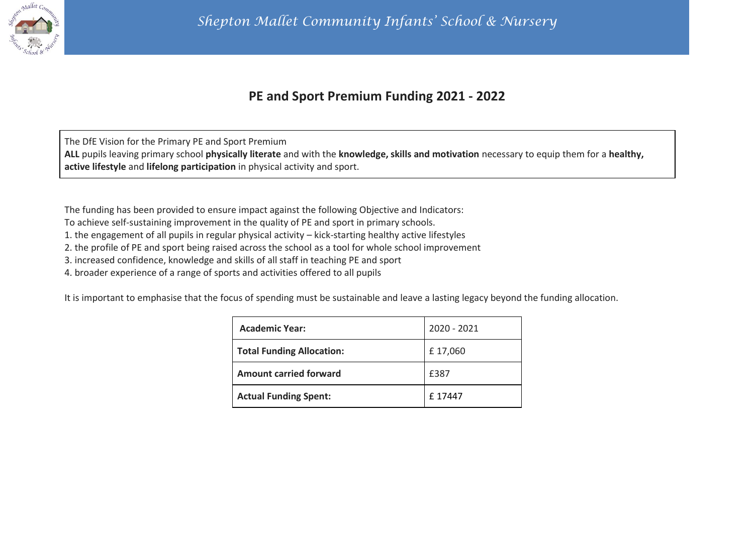

# **PE and Sport Premium Funding 2021 - 2022**

The DfE Vision for the Primary PE and Sport Premium **ALL** pupils leaving primary school **physically literate** and with the **knowledge, skills and motivation** necessary to equip them for a **healthy, active lifestyle** and **lifelong participation** in physical activity and sport.

The funding has been provided to ensure impact against the following Objective and Indicators:

To achieve self-sustaining improvement in the quality of PE and sport in primary schools.

1. the engagement of all pupils in regular physical activity – kick-starting healthy active lifestyles

2. the profile of PE and sport being raised across the school as a tool for whole school improvement

3. increased confidence, knowledge and skills of all staff in teaching PE and sport

4. broader experience of a range of sports and activities offered to all pupils

It is important to emphasise that the focus of spending must be sustainable and leave a lasting legacy beyond the funding allocation.

| <b>Academic Year:</b>            | 2020 - 2021 |
|----------------------------------|-------------|
| <b>Total Funding Allocation:</b> | £17,060     |
| <b>Amount carried forward</b>    | £387        |
| <b>Actual Funding Spent:</b>     | £17447      |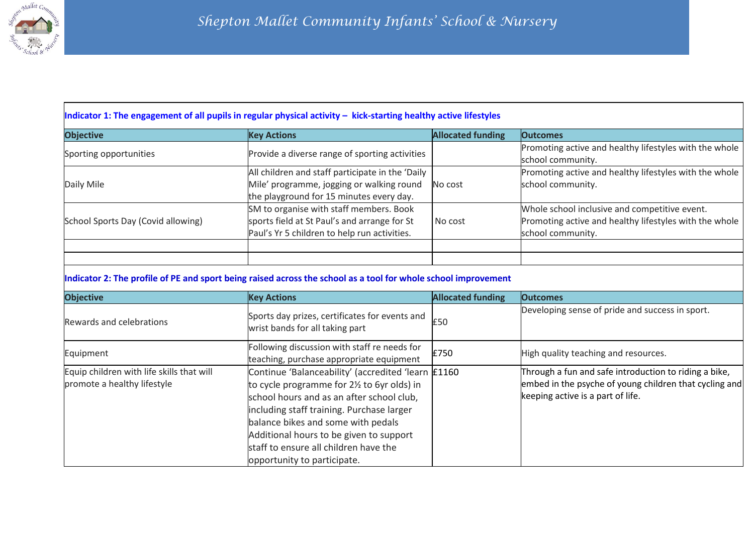

#### **Indicator 1: The engagement of all pupils in regular physical activity - kick-starting healthy active lifestyles**

| <b>Objective</b>                   | <b>Key Actions</b>                               | <b>Allocated funding</b> | <b>Outcomes</b>                                        |
|------------------------------------|--------------------------------------------------|--------------------------|--------------------------------------------------------|
| Sporting opportunities             | Provide a diverse range of sporting activities   |                          | Promoting active and healthy lifestyles with the whole |
|                                    |                                                  |                          | school community.                                      |
|                                    | All children and staff participate in the 'Daily |                          | Promoting active and healthy lifestyles with the whole |
| Daily Mile                         | Mile' programme, jogging or walking round        | No cost                  | school community.                                      |
|                                    | the playground for 15 minutes every day.         |                          |                                                        |
|                                    | SM to organise with staff members. Book          |                          | Whole school inclusive and competitive event.          |
| School Sports Day (Covid allowing) | sports field at St Paul's and arrange for St     | No cost                  | Promoting active and healthy lifestyles with the whole |
|                                    | Paul's Yr 5 children to help run activities.     |                          | school community.                                      |
|                                    |                                                  |                          |                                                        |
|                                    |                                                  |                          |                                                        |

### **Indicator 2: The profile of PE and sport being raised across the school as a tool for whole school improvement**

| <b>Objective</b>                                                         | <b>Key Actions</b>                                                                                                                                                                                                                                                                                                                                   | <b>Allocated funding</b> | <b>Outcomes</b>                                                                                                                                      |
|--------------------------------------------------------------------------|------------------------------------------------------------------------------------------------------------------------------------------------------------------------------------------------------------------------------------------------------------------------------------------------------------------------------------------------------|--------------------------|------------------------------------------------------------------------------------------------------------------------------------------------------|
| Rewards and celebrations                                                 | Sports day prizes, certificates for events and<br>wrist bands for all taking part                                                                                                                                                                                                                                                                    | £50                      | Developing sense of pride and success in sport.                                                                                                      |
| Equipment                                                                | Following discussion with staff re needs for<br>teaching, purchase appropriate equipment                                                                                                                                                                                                                                                             | £750                     | High quality teaching and resources.                                                                                                                 |
| Equip children with life skills that will<br>promote a healthy lifestyle | Continue 'Balanceability' (accredited 'learn £1160<br>to cycle programme for 21/2 to 6yr olds) in<br>school hours and as an after school club,<br>including staff training. Purchase larger<br>balance bikes and some with pedals<br>Additional hours to be given to support<br>staff to ensure all children have the<br>opportunity to participate. |                          | Through a fun and safe introduction to riding a bike,<br>embed in the psyche of young children that cycling and<br>keeping active is a part of life. |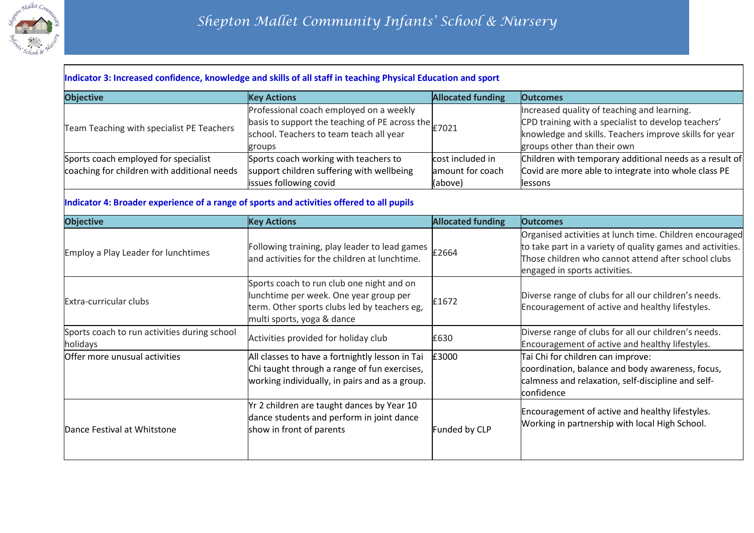

#### **Indicator 3: Increased confidence, knowledge and skills of all staff in teaching Physical Education and sport**

| <b>Objective</b>                            | <b>Key Actions</b>                                                                                                                                                    | <b>Allocated funding</b> | <b>Outcomes</b>                                                                                                                                                                             |
|---------------------------------------------|-----------------------------------------------------------------------------------------------------------------------------------------------------------------------|--------------------------|---------------------------------------------------------------------------------------------------------------------------------------------------------------------------------------------|
| Team Teaching with specialist PE Teachers   | Professional coach employed on a weekly<br>basis to support the teaching of PE across the $\epsilon$ $\geq$ 7021<br>school. Teachers to team teach all year<br>groups |                          | Increased quality of teaching and learning.<br>CPD training with a specialist to develop teachers'<br>knowledge and skills. Teachers improve skills for year<br>groups other than their own |
| Sports coach employed for specialist        | Sports coach working with teachers to                                                                                                                                 | cost included in         | Children with temporary additional needs as a result of                                                                                                                                     |
| coaching for children with additional needs | support children suffering with wellbeing                                                                                                                             | amount for coach         | Covid are more able to integrate into whole class PE                                                                                                                                        |
|                                             | issues following covid                                                                                                                                                | (above)                  | lessons                                                                                                                                                                                     |

## **Indicator 4: Broader experience of a range of sports and activities offered to all pupils**

| <b>Objective</b>                                         | <b>Key Actions</b>                                                                                                                                                | <b>Allocated funding</b> | <b>Outcomes</b>                                                                                                                                                                                               |
|----------------------------------------------------------|-------------------------------------------------------------------------------------------------------------------------------------------------------------------|--------------------------|---------------------------------------------------------------------------------------------------------------------------------------------------------------------------------------------------------------|
| <b>Employ a Play Leader for lunchtimes</b>               | Following training, play leader to lead games<br>and activities for the children at lunchtime.                                                                    | £2664                    | Organised activities at lunch time. Children encouraged<br>to take part in a variety of quality games and activities.<br>Those children who cannot attend after school clubs<br>engaged in sports activities. |
| Extra-curricular clubs                                   | Sports coach to run club one night and on<br>lunchtime per week. One year group per<br>term. Other sports clubs led by teachers eg,<br>multi sports, yoga & dance | £1672                    | Diverse range of clubs for all our children's needs.<br>Encouragement of active and healthy lifestyles.                                                                                                       |
| Sports coach to run activities during school<br>holidays | Activities provided for holiday club                                                                                                                              | £630                     | Diverse range of clubs for all our children's needs.<br>Encouragement of active and healthy lifestyles.                                                                                                       |
| Offer more unusual activities                            | All classes to have a fortnightly lesson in Tai<br>Chi taught through a range of fun exercises,<br>working individually, in pairs and as a group.                 | £3000                    | Tai Chi for children can improve:<br>coordination, balance and body awareness, focus,<br>calmness and relaxation, self-discipline and self-<br>confidence                                                     |
| Dance Festival at Whitstone                              | Yr 2 children are taught dances by Year 10<br>dance students and perform in joint dance<br>show in front of parents                                               | Funded by CLP            | Encouragement of active and healthy lifestyles.<br>Working in partnership with local High School.                                                                                                             |